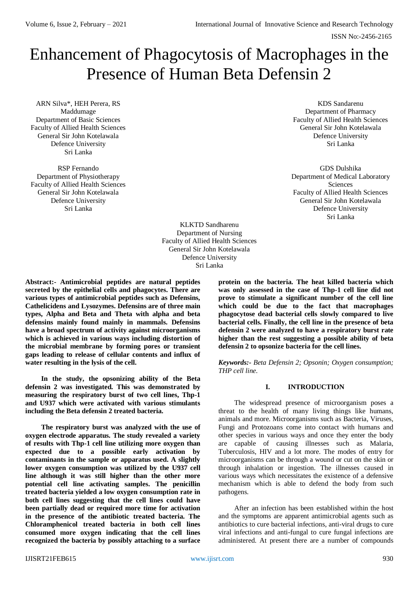# Enhancement of Phagocytosis of Macrophages in the Presence of Human Beta Defensin 2

ARN Silva\*, HEH Perera, RS Maddumage Department of Basic Sciences Faculty of Allied Health Sciences General Sir John Kotelawala Defence University Sri Lanka

RSP Fernando Department of Physiotherapy Faculty of Allied Health Sciences General Sir John Kotelawala Defence University Sri Lanka

KDS Sandarenu Department of Pharmacy Faculty of Allied Health Sciences General Sir John Kotelawala Defence University Sri Lanka

GDS Dulshika Department of Medical Laboratory Sciences Faculty of Allied Health Sciences General Sir John Kotelawala Defence University Sri Lanka

KLKTD Sandharenu Department of Nursing Faculty of Allied Health Sciences General Sir John Kotelawala Defence University Sri Lanka

**Abstract:- Antimicrobial peptides are natural peptides secreted by the epithelial cells and phagocytes. There are various types of antimicrobial peptides such as Defensins, Cathelicidens and Lysozymes. Defensins are of three main types, Alpha and Beta and Theta with alpha and beta defensins mainly found mainly in mammals. Defensins have a broad spectrum of activity against microorganisms which is achieved in various ways including distortion of the microbial membrane by forming pores or transient gaps leading to release of cellular contents and influx of water resulting in the lysis of the cell.**

**In the study, the opsonizing ability of the Beta defensin 2 was investigated. This was demonstrated by measuring the respiratory burst of two cell lines, Thp-1 and U937 which were activated with various stimulants including the Beta defensin 2 treated bacteria.**

**The respiratory burst was analyzed with the use of oxygen electrode apparatus. The study revealed a variety of results with Thp-1 cell line utilizing more oxygen than expected due to a possible early activation by contaminants in the sample or apparatus used. A slightly lower oxygen consumption was utilized by the U937 cell line although it was still higher than the other more potential cell line activating samples. The penicillin treated bacteria yielded a low oxygen consumption rate in both cell lines suggesting that the cell lines could have been partially dead or required more time for activation in the presence of the antibiotic treated bacteria. The Chloramphenicol treated bacteria in both cell lines consumed more oxygen indicating that the cell lines recognized the bacteria by possibly attaching to a surface** 

**protein on the bacteria. The heat killed bacteria which was only assessed in the case of Thp-1 cell line did not prove to stimulate a significant number of the cell line which could be due to the fact that macrophages phagocytose dead bacterial cells slowly compared to live bacterial cells. Finally, the cell line in the presence of beta defensin 2 were analyzed to have a respiratory burst rate higher than the rest suggesting a possible ability of beta defensin 2 to opsonize bacteria for the cell lines.** 

*Keywords:- Beta Defensin 2; Opsonin; Oxygen consumption; THP cell line.*

# **I. INTRODUCTION**

The widespread presence of microorganism poses a threat to the health of many living things like humans, animals and more. Microorganisms such as Bacteria, Viruses, Fungi and Protozoans come into contact with humans and other species in various ways and once they enter the body are capable of causing illnesses such as Malaria, Tuberculosis, HIV and a lot more. The modes of entry for microorganisms can be through a wound or cut on the skin or through inhalation or ingestion. The illnesses caused in various ways which necessitates the existence of a defensive mechanism which is able to defend the body from such pathogens.

After an infection has been established within the host and the symptoms are apparent antimicrobial agents such as antibiotics to cure bacterial infections, anti-viral drugs to cure viral infections and anti-fungal to cure fungal infections are administered. At present there are a number of compounds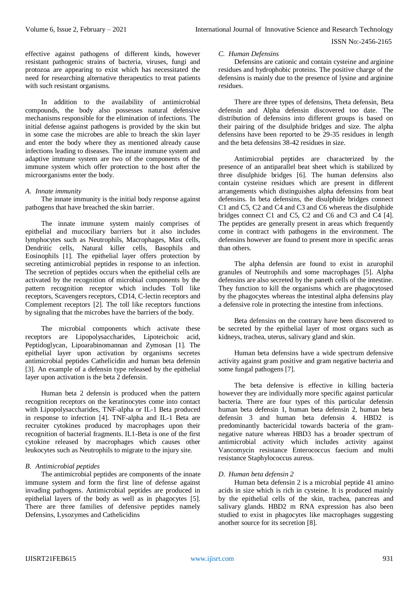effective against pathogens of different kinds, however resistant pathogenic strains of bacteria, viruses, fungi and protozoa are appearing to exist which has necessitated the need for researching alternative therapeutics to treat patients with such resistant organisms.

In addition to the availability of antimicrobial compounds, the body also possesses natural defensive mechanisms responsible for the elimination of infections. The initial defense against pathogens is provided by the skin but in some case the microbes are able to breach the skin layer and enter the body where they as mentioned already cause infections leading to diseases. The innate immune system and adaptive immune system are two of the components of the immune system which offer protection to the host after the microorganisms enter the body.

#### *A. Innate immunity*

The innate immunity is the initial body response against pathogens that have breached the skin barrier.

The innate immune system mainly comprises of epithelial and mucociliary barriers but it also includes lymphocytes such as Neutrophils, Macrophages, Mast cells, Dendritic cells, Natural killer cells, Basophils and Eosinophils [1]. The epithelial layer offers protection by secreting antimicrobial peptides in response to an infection. The secretion of peptides occurs when the epithelial cells are activated by the recognition of microbial components by the pattern recognition receptor which includes Toll like receptors, Scavengers receptors, CD14, C-lectin receptors and Complement receptors [2]. The toll like receptors functions by signaling that the microbes have the barriers of the body.

The microbial components which activate these receptors are Lipopolysaccharides, Lipoteichoic acid, Peptidoglycan, Lipoarabinomannan and Zymosan [1]. The epithelial layer upon activation by organisms secretes antimicrobial peptides Cathelicidin and human beta defensin [3]. An example of a defensin type released by the epithelial layer upon activation is the beta 2 defensin.

Human beta 2 defensin is produced when the pattern recognition receptors on the keratinocytes come into contact with Lipopolysaccharides, TNF-alpha or IL-1 Beta produced in response to infection [4]. TNF-alpha and IL-1 Beta are recruiter cytokines produced by macrophages upon their recognition of bacterial fragments. IL1-Beta is one of the first cytokine released by macrophages which causes other leukocytes such as Neutrophils to migrate to the injury site.

# *B. Antimicrobial peptides*

The antimicrobial peptides are components of the innate immune system and form the first line of defense against invading pathogens. Antimicrobial peptides are produced in epithelial layers of the body as well as in phagocytes [5]. There are three families of defensive peptides namely Defensins, Lysozymes and Cathelicidins

## *C. Human Defensins*

Defensins are cationic and contain cysteine and arginine residues and hydrophobic proteins. The positive charge of the defensins is mainly due to the presence of lysine and arginine residues.

There are three types of defensins, Theta defensin, Beta defensin and Alpha defensin discovered too date. The distribution of defensins into different groups is based on their pairing of the disulphide bridges and size. The alpha defensins have been reported to be 29-35 residues in length and the beta defensins 38-42 residues in size.

Antimicrobial peptides are characterized by the presence of an antiparallel beat sheet which is stabilized by three disulphide bridges [6]. The human defensins also contain cysteine residues which are present in different arrangements which distinguishes alpha defensins from beat defensins. In beta defensins, the disulphide bridges connect C1 and C5, C2 and C4 and C3 and C6 whereas the disulphide bridges connect C1 and C5, C2 and C6 and C3 and C4 [4]. The peptides are generally present in areas which frequently come in contract with pathogens in the environment. The defensins however are found to present more in specific areas than others.

The alpha defensin are found to exist in azurophil granules of Neutrophils and some macrophages [5]. Alpha defensins are also secreted by the paneth cells of the intestine. They function to kill the organisms which are phagocytosed by the phagocytes whereas the intestinal alpha defensins play a defensive role in protecting the intestine from infections.

Beta defensins on the contrary have been discovered to be secreted by the epithelial layer of most organs such as kidneys, trachea, uterus, salivary gland and skin.

Human beta defensins have a wide spectrum defensive activity against gram positive and gram negative bacteria and some fungal pathogens [7].

The beta defensive is effective in killing bacteria however they are individually more specific against particular bacteria. There are four types of this particular defensin human beta defensin 1, human beta defensin 2, human beta defensin 3 and human beta defensin 4. HBD2 is predominantly bactericidal towards bacteria of the gramnegative nature whereas HBD3 has a broader spectrum of antimicrobial activity which includes activity against Vancomycin resistance Enterococcus faecium and multi resistance Staphylococcus aureus.

# *D. Human beta defensin 2*

Human beta defensin 2 is a microbial peptide 41 amino acids in size which is rich in cysteine. It is produced mainly by the epithelial cells of the skin, trachea, pancreas and salivary glands. HBD2 m RNA expression has also been studied to exist in phagocytes like macrophages suggesting another source for its secretion [8].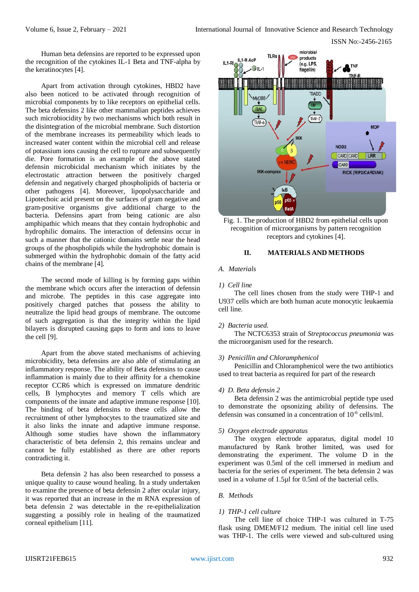Human beta defensins are reported to be expressed upon the recognition of the cytokines IL-1 Beta and TNF-alpha by the keratinocytes [4].

Apart from activation through cytokines, HBD2 have also been noticed to be activated through recognition of microbial components by to like receptors on epithelial cells. The beta defensins 2 like other mammalian peptides achieves such microbiocidity by two mechanisms which both result in the disintegration of the microbial membrane. Such distortion of the membrane increases its permeability which leads to increased water content within the microbial cell and release of potassium ions causing the cell to rupture and subsequently die. Pore formation is an example of the above stated defensin microbicidal mechanism which initiates by the electrostatic attraction between the positively charged defensin and negatively charged phospholipids of bacteria or other pathogens [4]. Moreover, lipopolysaccharide and Lipotechoic acid present on the surfaces of gram negative and gram-positive organisms give additional charge to the bacteria. Defensins apart from being cationic are also amphipathic which means that they contain hydrophobic and hydrophilic domains. The interaction of defensins occur in such a manner that the cationic domains settle near the head groups of the phospholipids while the hydrophobic domain is submerged within the hydrophobic domain of the fatty acid chains of the membrane [4].

The second mode of killing is by forming gaps within the membrane which occurs after the interaction of defensin and microbe. The peptides in this case aggregate into positively charged patches that possess the ability to neutralize the lipid head groups of membrane. The outcome of such aggregation is that the integrity within the lipid bilayers is disrupted causing gaps to form and ions to leave the cell [9].

Apart from the above stated mechanisms of achieving microbicidity, beta defensins are also able of stimulating an inflammatory response. The ability of Beta defensins to cause inflammation is mainly due to their affinity for a chemokine receptor CCR6 which is expressed on immature dendritic cells, B lymphocytes and memory T cells which are components of the innate and adaptive immune response [10]. The binding of beta defensins to these cells allow the recruitment of other lymphocytes to the traumatized site and it also links the innate and adaptive immune response. Although some studies have shown the inflammatory characteristic of beta defensin 2, this remains unclear and cannot be fully established as there are other reports contradicting it.

Beta defensin 2 has also been researched to possess a unique quality to cause wound healing. In a study undertaken to examine the presence of beta defensin 2 after ocular injury, it was reported that an increase in the m RNA expression of beta defensin 2 was detectable in the re-epithelialization suggesting a possibly role in healing of the traumatized corneal epithelium [11].



Fig. 1. The production of HBD2 from epithelial cells upon recognition of microorganisms by pattern recognition receptors and cytokines [4].

## **II. MATERIALS AND METHODS**

## *A. Materials*

## *1) Cell line*

The cell lines chosen from the study were THP-1 and U937 cells which are both human acute monocytic leukaemia cell line.

#### *2) Bacteria used.*

The NCTC6353 strain of *Streptococcus pneumonia* was the microorganism used for the research.

## *3) Penicillin and Chloramphenicol*

Penicillin and Chloramphenicol were the two antibiotics used to treat bacteria as required for part of the research

#### *4) D. Beta defensin 2*

Beta defensin 2 was the antimicrobial peptide type used to demonstrate the opsonizing ability of defensins. The defensin was consumed in a concentration of 10<sup>-6</sup> cells/ml.

#### *5) Oxygen electrode apparatus*

The oxygen electrode apparatus, digital model 10 manufactured by Rank brother limited, was used for demonstrating the experiment. The volume D in the experiment was 0.5ml of the cell immersed in medium and bacteria for the series of experiment. The beta defensin 2 was used in a volume of 1.5µl for 0.5ml of the bacterial cells.

# *B. Methods*

#### *1) THP-1 cell culture*

The cell line of choice THP-1 was cultured in T-75 flask using DMEM/F12 medium. The initial cell line used was THP-1. The cells were viewed and sub-cultured using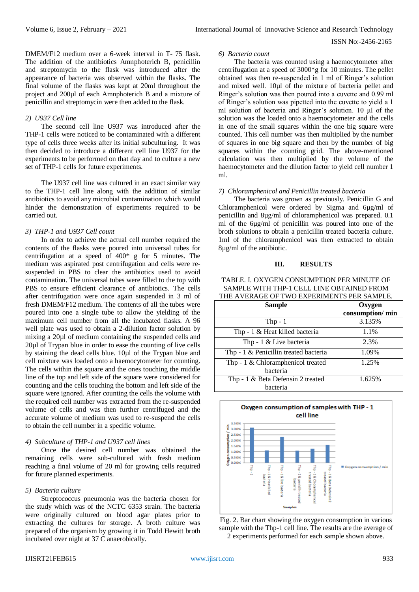DMEM/F12 medium over a 6-week interval in T- 75 flask. The addition of the antibiotics Amnphoterich B, penicillin and streptomycin to the flask was introduced after the appearance of bacteria was observed within the flasks. The final volume of the flasks was kept at 20ml throughout the project and 200µl of each Amnphoterich B and a mixture of penicillin and streptomycin were then added to the flask.

#### *2) U937 Cell line*

The second cell line U937 was introduced after the THP-1 cells were noticed to be contaminated with a different type of cells three weeks after its initial subculturing. It was then decided to introduce a different cell line U937 for the experiments to be performed on that day and to culture a new set of THP-1 cells for future experiments.

The U937 cell line was cultured in an exact similar way to the THP-1 cell line along with the addition of similar antibiotics to avoid any microbial contamination which would hinder the demonstration of experiments required to be carried out.

## *3) THP-1 and U937 Cell count*

In order to achieve the actual cell number required the contents of the flasks were poured into universal tubes for centrifugation at a speed of 400\* g for 5 minutes. The medium was aspirated post centrifugation and cells were resuspended in PBS to clear the antibiotics used to avoid contamination. The universal tubes were filled to the top with PBS to ensure efficient clearance of antibiotics. The cells after centrifugation were once again suspended in 3 ml of fresh DMEM/F12 medium. The contents of all the tubes were poured into one a single tube to allow the yielding of the maximum cell number from all the incubated flasks. A 96 well plate was used to obtain a 2-dilution factor solution by mixing a 20µl of medium containing the suspended cells and 20µl of Trypan blue in order to ease the counting of live cells by staining the dead cells blue. 10µl of the Trypan blue and cell mixture was loaded onto a haemocytometer for counting. The cells within the square and the ones touching the middle line of the top and left side of the square were considered for counting and the cells touching the bottom and left side of the square were ignored. After counting the cells the volume with the required cell number was extracted from the re-suspended volume of cells and was then further centrifuged and the accurate volume of medium was used to re-suspend the cells to obtain the cell number in a specific volume.

#### *4) Subculture of THP-1 and U937 cell lines*

Once the desired cell number was obtained the remaining cells were sub-cultured with fresh medium reaching a final volume of 20 ml for growing cells required for future planned experiments.

# *5) Bacteria culture*

Streptococcus pneumonia was the bacteria chosen for the study which was of the NCTC 6353 strain. The bacteria were originally cultured on blood agar plates prior to extracting the cultures for storage. A broth culture was prepared of the organism by growing it in Todd Hewitt broth incubated over night at 37 C anaerobically.

#### *6) Bacteria count*

The bacteria was counted using a haemocytometer after centrifugation at a speed of 3000\*g for 10 minutes. The pellet obtained was then re-suspended in 1 ml of Ringer's solution and mixed well. 10µl of the mixture of bacteria pellet and Ringer's solution was then poured into a cuvette and 0.99 ml of Ringer's solution was pipetted into the cuvette to yield a 1 ml solution of bacteria and Ringer's solution. 10 µl of the solution was the loaded onto a haemocytometer and the cells in one of the small squares within the one big square were counted. This cell number was then multiplied by the number of squares in one big square and then by the number of big squares within the counting grid. The above-mentioned calculation was then multiplied by the volume of the haemocytometer and the dilution factor to yield cell number 1 ml.

#### *7) Chloramphenicol and Penicillin treated bacteria*

The bacteria was grown as previously. Penicillin G and Chloramphenicol were ordered by Sigma and 6µg/ml of penicillin and 8µg/ml of chloramphenicol was prepared. 0.1 ml of the 6µg/ml of penicillin was poured into one of the broth solutions to obtain a penicillin treated bacteria culture. 1ml of the chloramphenicol was then extracted to obtain 8µg/ml of the antibiotic.

#### **III. RESULTS**

## TABLE. I. OXYGEN CONSUMPTION PER MINUTE OF SAMPLE WITH THP-1 CELL LINE OBTAINED FROM THE AVERAGE OF TWO EXPERIMENTS PER SAMPLE.

| <b>Sample</b>                         | Oxygen          |
|---------------------------------------|-----------------|
|                                       | consumption/min |
| Thp $-1$                              | 3.135%          |
| Thp - 1 & Heat killed bacteria        | 1.1%            |
| Thp - 1 & Live bacteria               | 2.3%            |
| Thp - 1 & Penicillin treated bacteria | 1.09%           |
| Thp - $1 \&$ Chloramphenicol treated  | 1.25%           |
| bacteria                              |                 |
| Thp - 1 & Beta Defensin 2 treated     | 1.625%          |
| bacteria                              |                 |



Fig. 2. Bar chart showing the oxygen consumption in various sample with the Thp-1 cell line. The results are the average of 2 experiments performed for each sample shown above.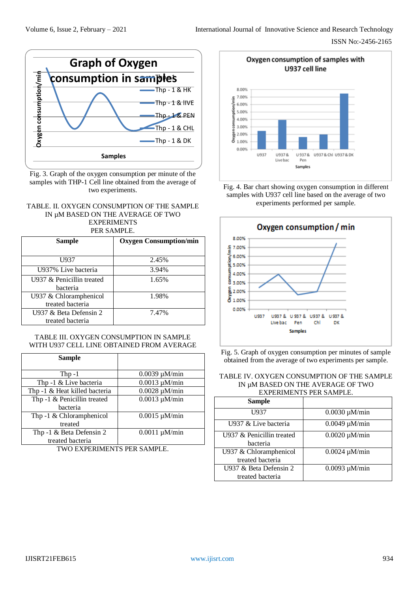

Fig. 3. Graph of the oxygen consumption per minute of the samples with THP-1 Cell line obtained from the average of two experiments.

## TABLE. II. OXYGEN CONSUMPTION OF THE SAMPLE IN µM BASED ON THE AVERAGE OF TWO EXPERIMENTS

PER SAMPLE.

| <b>Sample</b>                              | <b>Oxygen Consumption/min</b> |
|--------------------------------------------|-------------------------------|
| U <sub>937</sub>                           | 2.45%                         |
| U937% Live bacteria                        | 3.94%                         |
| U937 & Penicillin treated<br>hacteria      | 1.65%                         |
| U937 & Chloramphenicol<br>treated bacteria | 1.98%                         |
| U937 & Beta Defensin 2<br>treated bacteria | 7.47%                         |

# TABLE III. OXYGEN CONSUMPTION IN SAMPLE WITH U937 CELL LINE OBTAINED FROM AVERAGE

| <b>Sample</b>                 |                    |
|-------------------------------|--------------------|
| Thp $-1$                      | $0.0039 \mu M/min$ |
| Thp -1 & Live bacteria        | $0.0013 \mu M/min$ |
| Thp -1 & Heat killed bacteria | $0.0028 \mu M/min$ |
| Thp -1 & Penicillin treated   | $0.0013 \mu M/min$ |
| bacteria                      |                    |
| Thp -1 $&$ Chloramphenicol    | $0.0015 \mu M/min$ |
| treated                       |                    |
| Thp -1 & Beta Defensin 2      | $0.0011 \mu M/min$ |
| treated bacteria              |                    |
|                               |                    |

TWO EXPERIMENTS PER SAMPLE.



Fig. 4. Bar chart showing oxygen consumption in different samples with U937 cell line based on the average of two experiments performed per sample.



Fig. 5. Graph of oxygen consumption per minutes of sample obtained from the average of two experiments per sample.

## TABLE IV. OXYGEN CONSUMPTION OF THE SAMPLE IN µM BASED ON THE AVERAGE OF TWO EXPERIMENTS PER SAMPLE.

| <b>Sample</b>                              |                    |
|--------------------------------------------|--------------------|
| U937                                       | $0.0030 \mu M/min$ |
| U937 & Live bacteria                       | $0.0049 \mu M/min$ |
| U937 & Penicillin treated<br>bacteria      | $0.0020 \mu M/min$ |
| U937 & Chloramphenicol<br>treated bacteria | $0.0024 \mu M/min$ |
| U937 & Beta Defensin 2<br>treated bacteria | $0.0093 \mu M/min$ |

# IJISRT21FEB615 [www.ijisrt.com](http://www.ijisrt.com/) 934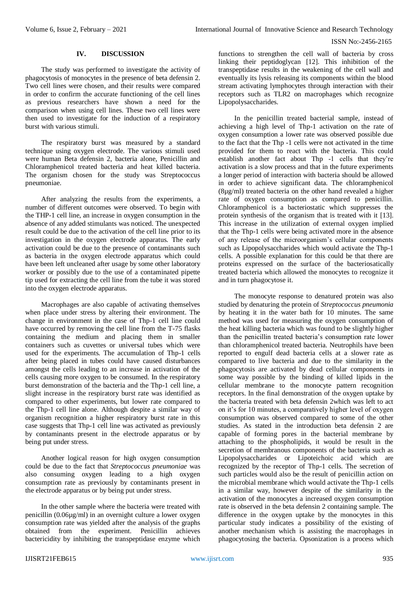## **IV. DISCUSSION**

The study was performed to investigate the activity of phagocytosis of monocytes in the presence of beta defensin 2. Two cell lines were chosen, and their results were compared in order to confirm the accurate functioning of the cell lines as previous researchers have shown a need for the comparison when using cell lines. These two cell lines were then used to investigate for the induction of a respiratory burst with various stimuli.

The respiratory burst was measured by a standard technique using oxygen electrode. The various stimuli used were human Beta defensin 2, bacteria alone, Penicillin and Chloramphenicol treated bacteria and heat killed bacteria. The organism chosen for the study was Streptococcus pneumoniae.

After analyzing the results from the experiments, a number of different outcomes were observed. To begin with the THP-1 cell line, an increase in oxygen consumption in the absence of any added stimulants was noticed. The unexpected result could be due to the activation of the cell line prior to its investigation in the oxygen electrode apparatus. The early activation could be due to the presence of contaminants such as bacteria in the oxygen electrode apparatus which could have been left uncleaned after usage by some other laboratory worker or possibly due to the use of a contaminated pipette tip used for extracting the cell line from the tube it was stored into the oxygen electrode apparatus.

Macrophages are also capable of activating themselves when place under stress by altering their environment. The change in environment in the case of Thp-1 cell line could have occurred by removing the cell line from the T-75 flasks containing the medium and placing them in smaller containers such as cuvettes or universal tubes which were used for the experiments. The accumulation of Thp-1 cells after being placed in tubes could have caused disturbances amongst the cells leading to an increase in activation of the cells causing more oxygen to be consumed. In the respiratory burst demonstration of the bacteria and the Thp-1 cell line, a slight increase in the respiratory burst rate was identified as compared to other experiments, but lower rate compared to the Thp-1 cell line alone. Although despite a similar way of organism recognition a higher respiratory burst rate in this case suggests that Thp-1 cell line was activated as previously by contaminants present in the electrode apparatus or by being put under stress.

Another logical reason for high oxygen consumption could be due to the fact that *Streptococcus pneumoniae* was also consuming oxygen leading to a high oxygen consumption rate as previously by contaminants present in the electrode apparatus or by being put under stress.

In the other sample where the bacteria were treated with penicillin (0.06µg/ml) in an overnight culture a lower oxygen consumption rate was yielded after the analysis of the graphs obtained from the experiment. Penicillin achieves bactericidity by inhibiting the transpeptidase enzyme which

functions to strengthen the cell wall of bacteria by cross linking their peptidoglycan [12]. This inhibition of the transpeptidase results in the weakening of the cell wall and eventually its lysis releasing its components within the blood stream activating lymphocytes through interaction with their receptors such as TLR2 on macrophages which recognize Lipopolysaccharides.

In the penicillin treated bacterial sample, instead of achieving a high level of Thp-1 activation on the rate of oxygen consumption a lower rate was observed possible due to the fact that the Thp -1 cells were not activated in the time provided for them to react with the bacteria. This could establish another fact about Thp -1 cells that they're activation is a slow process and that in the future experiments a longer period of interaction with bacteria should be allowed in order to achieve significant data. The chloramphenicol (8µg/ml) treated bacteria on the other hand revealed a higher rate of oxygen consumption as compared to penicillin. Chloramphenicol is a bacteriostatic which suppresses the protein synthesis of the organism that is treated with it [13]. This increase in the utilization of external oxygen implied that the Thp-1 cells were being activated more in the absence of any release of the microorganism's cellular components such as Lipopolysaccharides which would activate the Thp-1 cells. A possible explanation for this could be that there are proteins expressed on the surface of the bacteriosatically treated bacteria which allowed the monocytes to recognize it and in turn phagocytose it.

The monocyte response to denatured protein was also studied by denaturing the protein of *Streptococcus pneumonia*  by heating it in the water bath for 10 minutes. The same method was used for measuring the oxygen consumption of the heat killing bacteria which was found to be slightly higher than the penicillin treated bacteria's consumption rate lower than chloramphenicol treated bacteria. Neutrophils have been reported to engulf dead bacteria cells at a slower rate as compared to live bacteria and due to the similarity in the phagocytosis are activated by dead cellular components in some way possible by the binding of killed lipids in the cellular membrane to the monocyte pattern recognition receptors. In the final demonstration of the oxygen uptake by the bacteria treated with beta defensin 2which was left to act on it's for 10 minutes, a comparatively higher level of oxygen consumption was observed compared to some of the other studies. As stated in the introduction beta defensin 2 are capable of forming pores in the bacterial membrane by attaching to the phospholipids, it would be result in the secretion of membranous components of the bacteria such as Lipopolysaccharides or Lipoteichoic acid which are recognized by the receptor of Thp-1 cells. The secretion of such particles would also be the result of penicillin action on the microbial membrane which would activate the Thp-1 cells in a similar way, however despite of the similarity in the activation of the monocytes a increased oxygen consumption rate is observed in the beta defensin 2 containing sample. The difference in the oxygen uptake by the monocytes in this particular study indicates a possibility of the existing of another mechanism which is assisting the macrophages in phagocytosing the bacteria. Opsonization is a process which